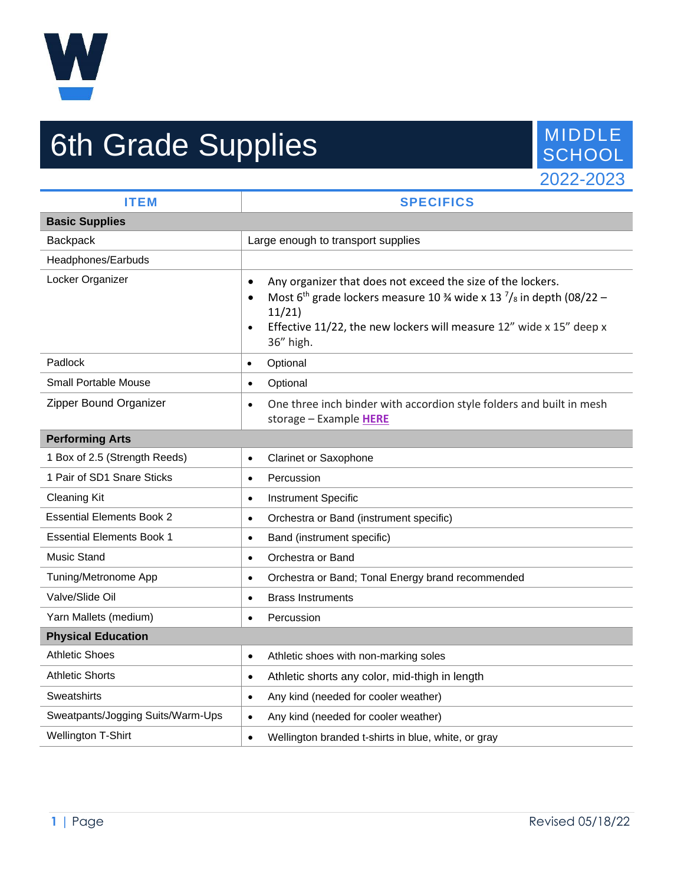

## 6th Grade Supplies MIDDLE SCHOOL



| <b>ITEM</b>                       | <b>SPECIFICS</b>                                                                                                                                                                                                                                                                             |
|-----------------------------------|----------------------------------------------------------------------------------------------------------------------------------------------------------------------------------------------------------------------------------------------------------------------------------------------|
| <b>Basic Supplies</b>             |                                                                                                                                                                                                                                                                                              |
| Backpack                          | Large enough to transport supplies                                                                                                                                                                                                                                                           |
| Headphones/Earbuds                |                                                                                                                                                                                                                                                                                              |
| Locker Organizer                  | Any organizer that does not exceed the size of the lockers.<br>$\bullet$<br>Most 6 <sup>th</sup> grade lockers measure 10 % wide x 13 $\frac{7}{8}$ in depth (08/22 -<br>$\bullet$<br>11/21<br>Effective 11/22, the new lockers will measure 12" wide x 15" deep x<br>$\bullet$<br>36" high. |
| Padlock                           | Optional<br>$\bullet$                                                                                                                                                                                                                                                                        |
| <b>Small Portable Mouse</b>       | Optional<br>$\bullet$                                                                                                                                                                                                                                                                        |
| Zipper Bound Organizer            | One three inch binder with accordion style folders and built in mesh<br>$\bullet$<br>storage - Example HERE                                                                                                                                                                                  |
| <b>Performing Arts</b>            |                                                                                                                                                                                                                                                                                              |
| 1 Box of 2.5 (Strength Reeds)     | <b>Clarinet or Saxophone</b><br>$\bullet$                                                                                                                                                                                                                                                    |
| 1 Pair of SD1 Snare Sticks        | Percussion<br>$\bullet$                                                                                                                                                                                                                                                                      |
| <b>Cleaning Kit</b>               | <b>Instrument Specific</b><br>$\bullet$                                                                                                                                                                                                                                                      |
| <b>Essential Elements Book 2</b>  | Orchestra or Band (instrument specific)<br>$\bullet$                                                                                                                                                                                                                                         |
| <b>Essential Elements Book 1</b>  | Band (instrument specific)<br>$\bullet$                                                                                                                                                                                                                                                      |
| <b>Music Stand</b>                | Orchestra or Band<br>$\bullet$                                                                                                                                                                                                                                                               |
| Tuning/Metronome App              | Orchestra or Band; Tonal Energy brand recommended<br>$\bullet$                                                                                                                                                                                                                               |
| Valve/Slide Oil                   | <b>Brass Instruments</b><br>$\bullet$                                                                                                                                                                                                                                                        |
| Yarn Mallets (medium)             | Percussion<br>$\bullet$                                                                                                                                                                                                                                                                      |
| <b>Physical Education</b>         |                                                                                                                                                                                                                                                                                              |
| <b>Athletic Shoes</b>             | Athletic shoes with non-marking soles<br>$\bullet$                                                                                                                                                                                                                                           |
| Athletic Shorts                   | Athletic shorts any color, mid-thigh in length<br>$\bullet$                                                                                                                                                                                                                                  |
| Sweatshirts                       | Any kind (needed for cooler weather)<br>$\bullet$                                                                                                                                                                                                                                            |
| Sweatpants/Jogging Suits/Warm-Ups | Any kind (needed for cooler weather)<br>$\bullet$                                                                                                                                                                                                                                            |
| Wellington T-Shirt                | Wellington branded t-shirts in blue, white, or gray<br>$\bullet$                                                                                                                                                                                                                             |